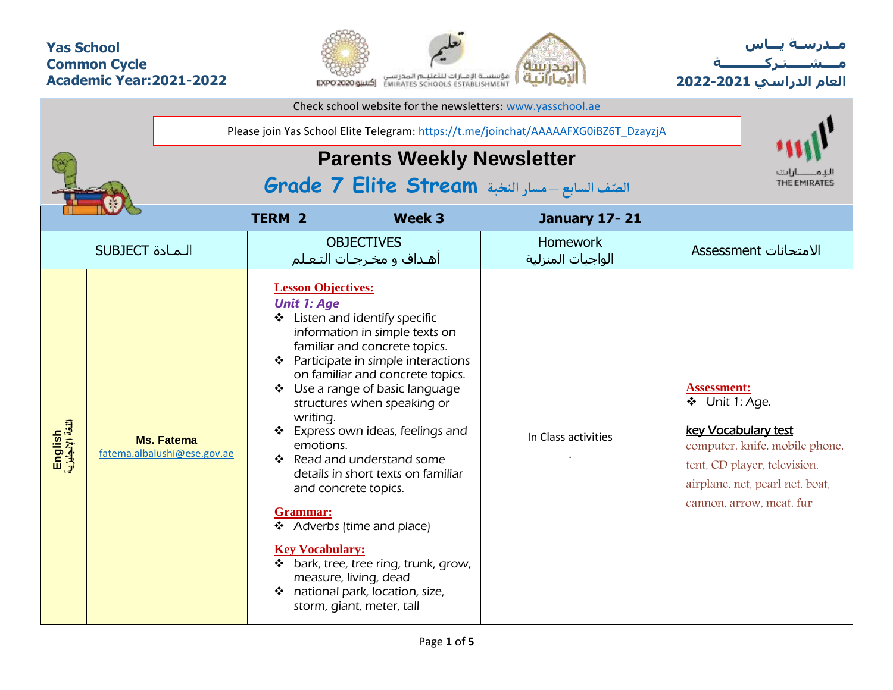### **Yas School Common Cycle Academic Year:2021-2022**



**مــدرسـة يـــاس مــــشـ ـــ ـتـ ركـ ــــــــــ ة العام الدراسي -2021 2022**

|                             |                                                  |                                                                                                                | Check school website for the newsletters: www.yasschool.ae                                                                                                                                                                                                                                                                                                                                                                                                                                                                              |                                                                                     |                                                                                                                                                                                              |
|-----------------------------|--------------------------------------------------|----------------------------------------------------------------------------------------------------------------|-----------------------------------------------------------------------------------------------------------------------------------------------------------------------------------------------------------------------------------------------------------------------------------------------------------------------------------------------------------------------------------------------------------------------------------------------------------------------------------------------------------------------------------------|-------------------------------------------------------------------------------------|----------------------------------------------------------------------------------------------------------------------------------------------------------------------------------------------|
|                             |                                                  |                                                                                                                |                                                                                                                                                                                                                                                                                                                                                                                                                                                                                                                                         | Please join Yas School Elite Telegram: https://t.me/joinchat/AAAAAFXG0iBZ6T_DzayzjA |                                                                                                                                                                                              |
|                             |                                                  |                                                                                                                | <b>Parents Weekly Newsletter</b>                                                                                                                                                                                                                                                                                                                                                                                                                                                                                                        | الصنّف السابع -مسار النخبة Grade 7 Elite Stream                                     | THE EMIRATES                                                                                                                                                                                 |
|                             |                                                  |                                                                                                                |                                                                                                                                                                                                                                                                                                                                                                                                                                                                                                                                         |                                                                                     |                                                                                                                                                                                              |
|                             |                                                  | <b>TERM 2</b>                                                                                                  | Week 3                                                                                                                                                                                                                                                                                                                                                                                                                                                                                                                                  | <b>January 17-21</b>                                                                |                                                                                                                                                                                              |
|                             | <b>SUBJECT</b> الـمـادة                          |                                                                                                                | <b>OBJECTIVES</b><br>أهـداف و مخـرجـات التـعـلم                                                                                                                                                                                                                                                                                                                                                                                                                                                                                         | <b>Homework</b><br>الواجبات المنزلية                                                | الامتحانات Assessment                                                                                                                                                                        |
| English<br>اللغة الإنجليزية | <b>Ms. Fatema</b><br>fatema.albalushi@ese.gov.ae | <b>Lesson Objectives:</b><br><b>Unit 1: Age</b><br>writing.<br>emotions.<br>Grammar:<br><b>Key Vocabulary:</b> | Listen and identify specific<br>information in simple texts on<br>familiar and concrete topics.<br>Participate in simple interactions<br>on familiar and concrete topics.<br>Use a range of basic language<br>structures when speaking or<br>Express own ideas, feelings and<br>Read and understand some<br>details in short texts on familiar<br>and concrete topics.<br>❖ Adverbs (time and place)<br>* bark, tree, tree ring, trunk, grow,<br>measure, living, dead<br>❖ national park, location, size,<br>storm, giant, meter, tall | In Class activities                                                                 | <b>Assessment:</b><br>❖ Unit 1: Age.<br>key Vocabulary test<br>computer, knife, mobile phone,<br>tent, CD player, television,<br>airplane, net, pearl net, boat,<br>cannon, arrow, meat, fur |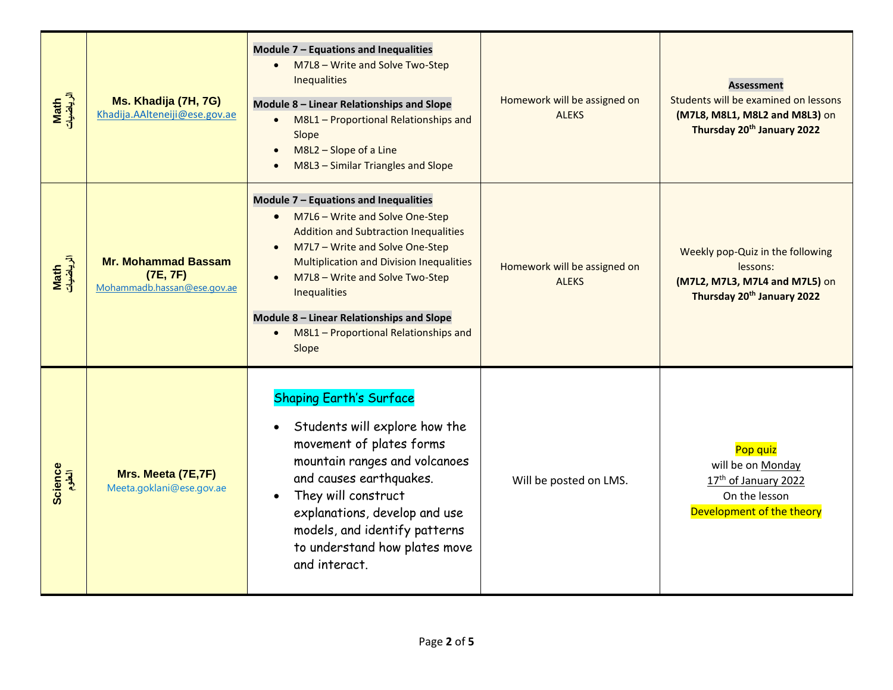| Math<br>الرياضيات | Ms. Khadija (7H, 7G)<br>Khadija.AAlteneiji@ese.gov.ae                 | Module 7 - Equations and Inequalities<br>M7L8 - Write and Solve Two-Step<br>$\bullet$<br>Inequalities<br>Module 8 - Linear Relationships and Slope<br>M8L1 - Proportional Relationships and<br>$\bullet$<br>Slope<br>M8L2 - Slope of a Line<br>$\bullet$<br>M8L3 - Similar Triangles and Slope<br>$\bullet$                                                                                             | Homework will be assigned on<br><b>ALEKS</b> | <b>Assessment</b><br>Students will be examined on lessons<br>(M7L8, M8L1, M8L2 and M8L3) on<br>Thursday 20 <sup>th</sup> January 2022 |
|-------------------|-----------------------------------------------------------------------|---------------------------------------------------------------------------------------------------------------------------------------------------------------------------------------------------------------------------------------------------------------------------------------------------------------------------------------------------------------------------------------------------------|----------------------------------------------|---------------------------------------------------------------------------------------------------------------------------------------|
| Math<br>الرياضيات | <b>Mr. Mohammad Bassam</b><br>(7E, 7F)<br>Mohammadb.hassan@ese.gov.ae | Module 7 - Equations and Inequalities<br>M7L6 - Write and Solve One-Step<br>$\bullet$<br><b>Addition and Subtraction Inequalities</b><br>M7L7 - Write and Solve One-Step<br>$\bullet$<br><b>Multiplication and Division Inequalities</b><br>M7L8 - Write and Solve Two-Step<br>$\bullet$<br>Inequalities<br>Module 8 - Linear Relationships and Slope<br>M8L1 - Proportional Relationships and<br>Slope | Homework will be assigned on<br><b>ALEKS</b> | Weekly pop-Quiz in the following<br>lessons:<br>(M7L2, M7L3, M7L4 and M7L5) on<br>Thursday 20th January 2022                          |
| Science<br>الطوم  | Mrs. Meeta (7E,7F)<br>Meeta.goklani@ese.gov.ae                        | <b>Shaping Earth's Surface</b><br>Students will explore how the<br>$\bullet$<br>movement of plates forms<br>mountain ranges and volcanoes<br>and causes earthquakes.<br>They will construct<br>$\bullet$<br>explanations, develop and use<br>models, and identify patterns<br>to understand how plates move<br>and interact.                                                                            | Will be posted on LMS.                       | Pop quiz<br>will be on Monday<br>17 <sup>th</sup> of January 2022<br>On the lesson<br>Development of the theory                       |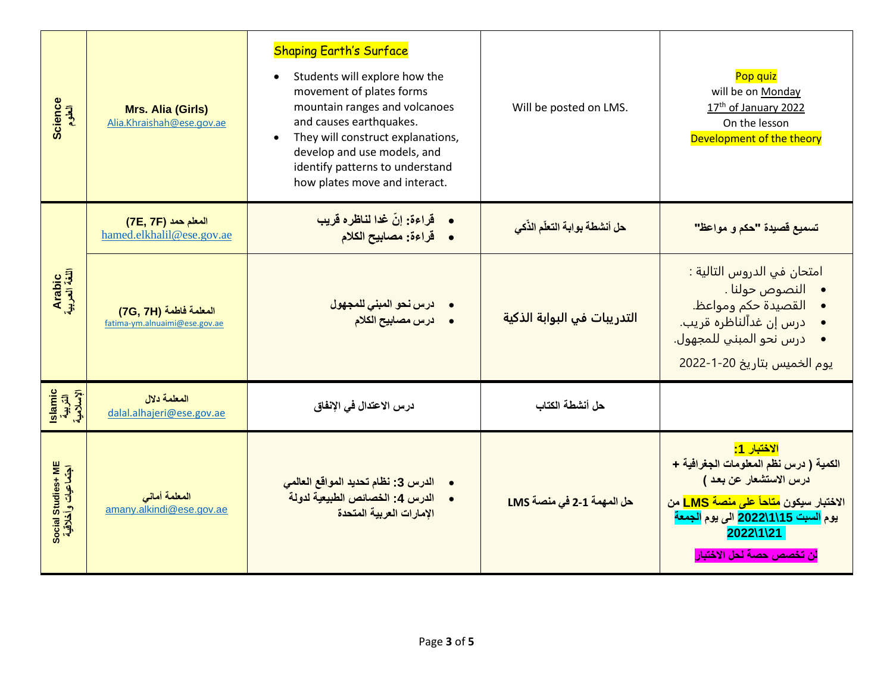| Science<br>العلوم                        | <b>Mrs. Alia (Girls)</b><br>Alia.Khraishah@ese.gov.ae   | <b>Shaping Earth's Surface</b><br>Students will explore how the<br>$\bullet$<br>movement of plates forms<br>mountain ranges and volcanoes<br>and causes earthquakes.<br>They will construct explanations,<br>develop and use models, and<br>identify patterns to understand<br>how plates move and interact. | Will be posted on LMS.        | Pop quiz<br>will be on Monday<br>17th of January 2022<br>On the lesson<br>Development of the theory                                                                                                                                                                |
|------------------------------------------|---------------------------------------------------------|--------------------------------------------------------------------------------------------------------------------------------------------------------------------------------------------------------------------------------------------------------------------------------------------------------------|-------------------------------|--------------------------------------------------------------------------------------------------------------------------------------------------------------------------------------------------------------------------------------------------------------------|
|                                          | المعلم حمد (7E, 7F)<br>hamed.elkhalil@ese.gov.ae        | قراءة: إنّ غدا لناظره قريب<br>قراءة: مصابيح الكلام<br>$\bullet$                                                                                                                                                                                                                                              | حل أنشطة بوابة التعلّم الذّكى | تسميع قصيدة "حكم و مواعظ"                                                                                                                                                                                                                                          |
| Arabic<br>اللغة العربية                  | المعلمة فاطمة (7G, 7H)<br>fatima-ym.alnuaimi@ese.gov.ae | درس نحو المبنى للمجهول<br>درس مصابيح الكلام                                                                                                                                                                                                                                                                  | التدريبات في البوابة الذكية   | امتحان في الدروس التالية :<br>• النصوص حولنا .<br>القصيدة حكم ومواعظ.<br>درس إن غداًلناظره قريب.<br>درس نحو المبني للمجهول.<br>يوم الخميس بتاريخ 20-1-2022                                                                                                         |
| islamic<br>التربية<br>الإسلامية          | المعلمة دلال<br>dalal.alhajeri@ese.gov.ae               | درس الاعتدال في الإنفاق                                                                                                                                                                                                                                                                                      | حل أنشطة الكتاب               |                                                                                                                                                                                                                                                                    |
| Social Studies+ ME<br>اجتماعیات وأخلاقیة | المعلمة أمانى<br>amany.alkindi@ese.gov.ae               | الدرس 3: نظام تحديد المواقع العالمي<br>الدرس 4: الخصائص الطبيعية لدولة<br>الإمارات العربية المتحدة                                                                                                                                                                                                           | حل المهمة 1-2 في منصة LMS     | <mark>الاختبار 1:</mark><br>الكمية ( درس نظم المعلومات الجغرافية +<br>درس الاستشعار عن بعد )<br>الاختبار سيكون <mark>متاحاً على منصة LMS</mark> من<br>يوم السبت 2022\1\15 الى يوم الجمعة<br>$2022\backslash1\backslash21$<br><mark>لن تخصص حصة لحل الاختبار</mark> |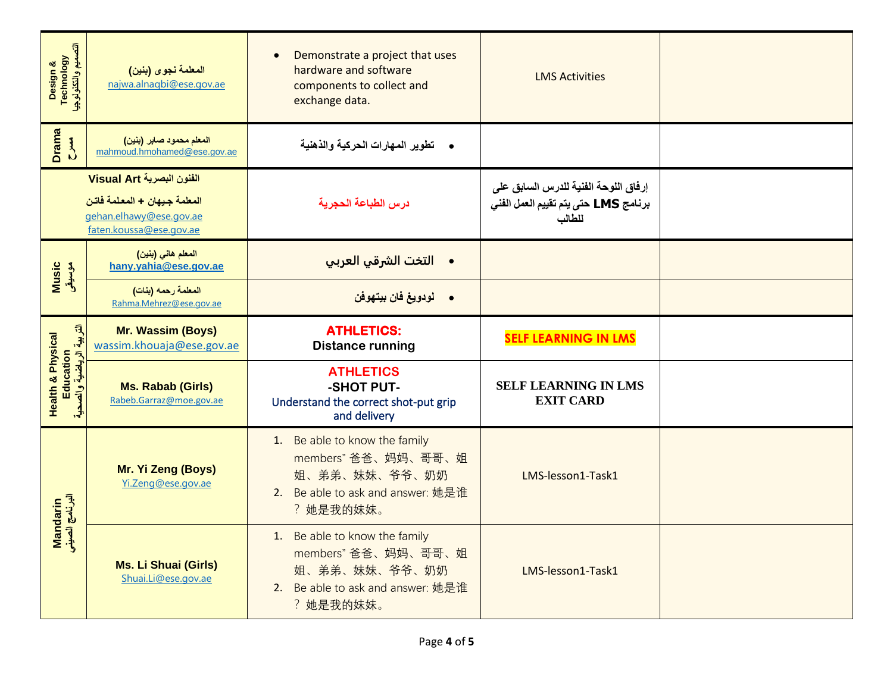| Design &<br>Technology<br>التصميم والتكنولوجيا                        | المعلمة نجوى (بنين)<br>najwa.alnagbi@ese.gov.ae                                                                 | Demonstrate a project that uses<br>$\bullet$<br>hardware and software<br>components to collect and<br>exchange data.    | <b>LMS Activities</b>                                                                  |  |
|-----------------------------------------------------------------------|-----------------------------------------------------------------------------------------------------------------|-------------------------------------------------------------------------------------------------------------------------|----------------------------------------------------------------------------------------|--|
| <b>Drama</b><br>$\sum_{i=1}^{n}$                                      | المعلم محمود صابر (بنين)<br>mahmoud.hmohamed@ese.gov.ae                                                         | •     تطوير المهارات الحركية والذهنية                                                                                   |                                                                                        |  |
|                                                                       | الفنون البصرية Visual Art<br>المعلمة جيهان + المعلمة فاتن<br>gehan.elhawy@ese.gov.ae<br>faten.koussa@ese.gov.ae | درس الطباعة الحجرية                                                                                                     | إرفاق اللوحة الفنية للدرس السابق على<br>برنامج LMS حتى يتم تقييم العمل الفنى<br>للطالب |  |
| Music<br>موسيقى                                                       | المعلم هاني (بنين)<br>hany.yahia@ese.gov.ae                                                                     | •    التخت الشرقي العربي                                                                                                |                                                                                        |  |
|                                                                       | المعلمة رحمه (بنات)<br>Rahma.Mehrez@ese.gov.ae                                                                  | • لودويغ فان بيتهوفن                                                                                                    |                                                                                        |  |
|                                                                       |                                                                                                                 |                                                                                                                         |                                                                                        |  |
|                                                                       | Mr. Wassim (Boys)<br>wassim.khouaja@ese.gov.ae                                                                  | <b>ATHLETICS:</b><br><b>Distance running</b>                                                                            | <b>SELF LEARNING IN LMS</b>                                                            |  |
| Education<br>التربية الرياضية والصحية<br><b>Health &amp; Physical</b> | <b>Ms. Rabab (Girls)</b><br>Rabeb.Garraz@moe.gov.ae                                                             | <b>ATHLETICS</b><br>-SHOT PUT-<br>Understand the correct shot-put grip<br>and delivery                                  | <b>SELF LEARNING IN LMS</b><br><b>EXIT CARD</b>                                        |  |
| Mandarin<br>البرنامج الصيني                                           | Mr. Yi Zeng (Boys)<br>Yi.Zeng@ese.gov.ae                                                                        | 1. Be able to know the family<br>members" 爸爸、妈妈、哥哥、姐<br>姐、弟弟、妹妹、爷爷、奶奶<br>2. Be able to ask and answer: 她是谁<br>? 她是我的妹妹。 | LMS-lesson1-Task1                                                                      |  |